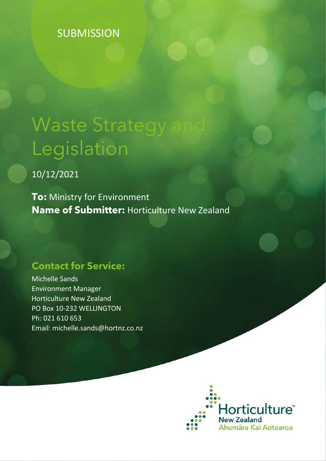# **SUBMISSION**

# **Waste Strategy** Legislation

10/12/2021

**To:** Ministry for Environment **Name of Submitter:** Horticulture New Zealand

# **Contact for Service:**

Michelle Sands Environment Manager Horticulture New Zealand PO Box 10-232 WELLINGTON Ph: 021 610 653 Email: michelle.sands@hortnz.co.nz

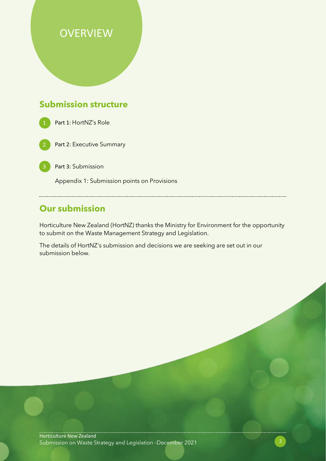# **OVERVIEW**

# **Submission structure**



Part 2: Executive Summary

Part 3: Submission

Appendix 1: Submission points on Provisions

## **Our submission**

Horticulture New Zealand (HortNZ) thanks the Ministry for Environment for the opportunity to submit on the Waste Management Strategy and Legislation.

The details of HortNZ's submission and decisions we are seeking are set out in our submission below.

Horticulture New Zealand Submission on Waste Strategy and Legislation –December 2021 2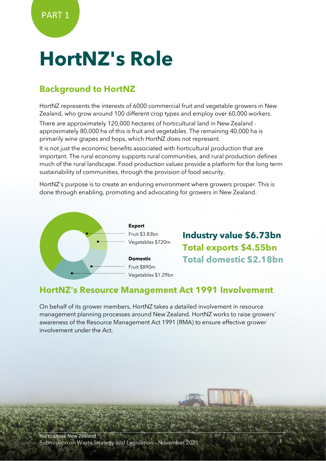# **HortNZ's Role**

# **Background to HortNZ**

HortNZ represents the interests of 6000 commercial fruit and vegetable growers in New Zealand, who grow around 100 different crop types and employ over 60,000 workers.

There are approximately 120,000 hectares of horticultural land in New Zealand approximately 80,000 ha of this is fruit and vegetables. The remaining 40,000 ha is primarily wine grapes and hops, which HortNZ does not represent.

It is not just the economic benefits associated with horticultural production that are important. The rural economy supports rural communities, and rural production defines much of the rural landscape. Food production values provide a platform for the long term sustainability of communities, through the provision of food security.

HortNZ's purpose is to create an enduring environment where growers prosper. This is done through enabling, promoting and advocating for growers in New Zealand.



**Industry value \$6.73bn Total exports \$4.55bn Total domestic \$2.18bn**

## **HortNZ's Resource Management Act 1991 Involvement**

On behalf of its grower members, HortNZ takes a detailed involvement in resource management planning processes around New Zealand. HortNZ works to raise growers' awareness of the Resource Management Act 1991 (RMA) to ensure effective grower involvement under the Act.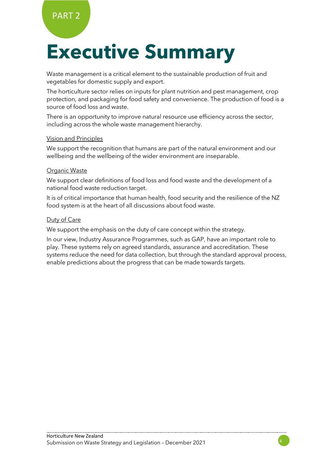# **Executive Summary**

Waste management is a critical element to the sustainable production of fruit and vegetables for domestic supply and export.

The horticulture sector relies on inputs for plant nutrition and pest management, crop protection, and packaging for food safety and convenience. The production of food is a source of food loss and waste.

There is an opportunity to improve natural resource use efficiency across the sector, including across the whole waste management hierarchy.

#### Vision and Principles

We support the recognition that humans are part of the natural environment and our wellbeing and the wellbeing of the wider environment are inseparable.

#### Organic Waste

We support clear definitions of food loss and food waste and the development of a national food waste reduction target.

It is of critical importance that human health, food security and the resilience of the NZ food system is at the heart of all discussions about food waste.

#### Duty of Care

We support the emphasis on the duty of care concept within the strategy.

In our view, Industry Assurance Programmes, such as GAP, have an important role to play. These systems rely on agreed standards, assurance and accreditation. These systems reduce the need for data collection, but through the standard approval process, enable predictions about the progress that can be made towards targets.

4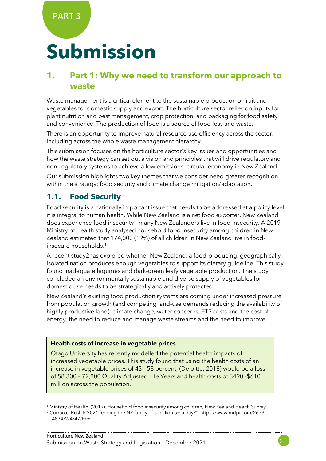PART 3

# **Submission**

## **1. Part 1: Why we need to transform our approach to waste**

Waste management is a critical element to the sustainable production of fruit and vegetables for domestic supply and export. The horticulture sector relies on inputs for plant nutrition and pest management, crop protection, and packaging for food safety and convenience. The production of food is a source of food loss and waste.

There is an opportunity to improve natural resource use efficiency across the sector, including across the whole waste management hierarchy.

This submission focuses on the horticulture sector's key issues and opportunities and how the waste strategy can set out a vision and principles that will drive regulatory and non-regulatory systems to achieve a low emissions, circular economy in New Zealand.

Our submission highlights two key themes that we consider need greater recognition within the strategy: food security and climate change mitigation/adaptation.

## **1.1. Food Security**

Food security is a nationally important issue that needs to be addressed at a policy level; it is integral to human health. While New Zealand is a net food exporter, New Zealand does experience food insecurity - many New Zealanders live in food insecurity. A 2019 Ministry of Health study analysed household food insecurity among children in New Zealand estimated that 174,000 (19%) of all children in New Zealand live in foodinsecure households.<sup>1</sup>

A recent study2has explored whether New Zealand, a food-producing, geographically isolated nation produces enough vegetables to support its dietary guideline. This study found inadequate legumes and dark-green leafy vegetable production. The study concluded an environmentally sustainable and diverse supply of vegetables for domestic use needs to be strategically and actively protected.

New Zealand's existing food production systems are coming under increased pressure from population growth (and competing land-use demands reducing the availability of highly productive land), climate change, water concerns, ETS costs and the cost of energy, the need to reduce and manage waste streams and the need to improve

#### **Health costs of increase in vegetable prices**

Otago University has recently modelled the potential health impacts of increased vegetable prices. This study found that using the health costs of an increase in vegetable prices of 43 - 58 percent, (Deloitte, 2018) would be a loss of 58,300 – 72,800 Quality Adjusted Life Years and health costs of \$490 -\$610 million across the population.<sup>1</sup>

<sup>1</sup> Ministry of Health. (2019). Household food insecurity among children, New Zealand Health Survey <sup>2</sup> Curran c, Rush E 2021 feeding the NZ family of 5 million 5+ a day?" https://www.mdpi.com/2673-

<sup>4834/2/4/47/</sup>htm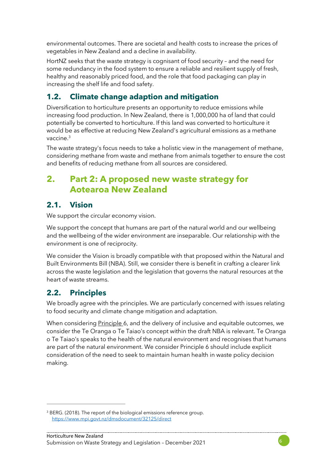environmental outcomes. There are societal and health costs to increase the prices of vegetables in New Zealand and a decline in availability.

HortNZ seeks that the waste strategy is cognisant of food security – and the need for some redundancy in the food system to ensure a reliable and resilient supply of fresh, healthy and reasonably priced food, and the role that food packaging can play in increasing the shelf life and food safety.

## **1.2. Climate change adaption and mitigation**

Diversification to horticulture presents an opportunity to reduce emissions while increasing food production. In New Zealand, there is 1,000,000 ha of land that could potentially be converted to horticulture. If this land was converted to horticulture it would be as effective at reducing New Zealand's agricultural emissions as a methane vaccine. 3

The waste strategy's focus needs to take a holistic view in the management of methane, considering methane from waste and methane from animals together to ensure the cost and benefits of reducing methane from all sources are considered.

# **2. Part 2: A proposed new waste strategy for Aotearoa New Zealand**

## **2.1. Vision**

We support the circular economy vision.

We support the concept that humans are part of the natural world and our wellbeing and the wellbeing of the wider environment are inseparable. Our relationship with the environment is one of reciprocity.

We consider the Vision is broadly compatible with that proposed within the Natural and Built Environments Bill (NBA). Still, we consider there is benefit in crafting a clearer link across the waste legislation and the legislation that governs the natural resources at the heart of waste streams.

## **2.2. Principles**

We broadly agree with the principles. We are particularly concerned with issues relating to food security and climate change mitigation and adaptation.

When considering Principle 6, and the delivery of inclusive and equitable outcomes, we consider the Te Oranga o Te Taiao's concept within the draft NBA is relevant. Te Oranga o Te Taiao's speaks to the health of the natural environment and recognises that humans are part of the natural environment. We consider Principle 6 should include explicit consideration of the need to seek to maintain human health in waste policy decision making.



<sup>&</sup>lt;sup>3</sup> BERG. (2018). The report of the biological emissions reference group. <https://www.mpi.govt.nz/dmsdocument/32125/direct>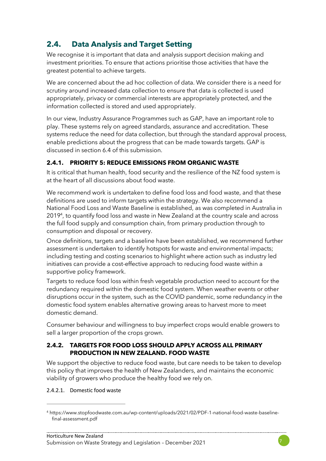# **2.4. Data Analysis and Target Setting**

We recognise it is important that data and analysis support decision making and investment priorities. To ensure that actions prioritise those activities that have the greatest potential to achieve targets.

We are concerned about the ad hoc collection of data. We consider there is a need for scrutiny around increased data collection to ensure that data is collected is used appropriately, privacy or commercial interests are appropriately protected, and the information collected is stored and used appropriately.

In our view, Industry Assurance Programmes such as GAP, have an important role to play. These systems rely on agreed standards, assurance and accreditation. These systems reduce the need for data collection, but through the standard approval process, enable predictions about the progress that can be made towards targets. GAP is discussed in section 6.4 of this submission.

#### **2.4.1. PRIORITY 5: REDUCE EMISSIONS FROM ORGANIC WASTE**

It is critical that human health, food security and the resilience of the NZ food system is at the heart of all discussions about food waste.

We recommend work is undertaken to define food loss and food waste, and that these definitions are used to inform targets within the strategy. We also recommend a National Food Loss and Waste Baseline is established, as was completed in Australia in 2019<sup>4</sup> , to quantify food loss and waste in New Zealand at the country scale and across the full food supply and consumption chain, from primary production through to consumption and disposal or recovery.

Once definitions, targets and a baseline have been established, we recommend further assessment is undertaken to identify hotspots for waste and environmental impacts; including testing and costing scenarios to highlight where action such as industry led initiatives can provide a cost-effective approach to reducing food waste within a supportive policy framework.

Targets to reduce food loss within fresh vegetable production need to account for the redundancy required within the domestic food system. When weather events or other disruptions occur in the system, such as the COVID pandemic, some redundancy in the domestic food system enables alternative growing areas to harvest more to meet domestic demand.

Consumer behaviour and willingness to buy imperfect crops would enable growers to sell a larger proportion of the crops grown.

#### **2.4.2. TARGETS FOR FOOD LOSS SHOULD APPLY ACROSS ALL PRIMARY PRODUCTION IN NEW ZEALAND. FOOD WASTE**

We support the objective to reduce food waste, but care needs to be taken to develop this policy that improves the health of New Zealanders, and maintains the economic viability of growers who produce the healthy food we rely on.

2.4.2.1. Domestic food waste



<sup>4</sup> https://www.stopfoodwaste.com.au/wp-content/uploads/2021/02/PDF-1-national-food-waste-baselinefinal-assessment.pdf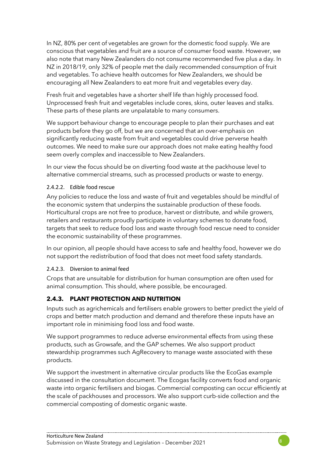In NZ, 80% per cent of vegetables are grown for the domestic food supply. We are conscious that vegetables and fruit are a source of consumer food waste. However, we also note that many New Zealanders do not consume recommended five plus a day. In NZ in 2018/19, only 32% of people met the daily recommended consumption of fruit and vegetables. To achieve health outcomes for New Zealanders, we should be encouraging all New Zealanders to eat more fruit and vegetables every day.

Fresh fruit and vegetables have a shorter shelf life than highly processed food. Unprocessed fresh fruit and vegetables include cores, skins, outer leaves and stalks. These parts of these plants are unpalatable to many consumers.

We support behaviour change to encourage people to plan their purchases and eat products before they go off, but we are concerned that an over-emphasis on significantly reducing waste from fruit and vegetables could drive perverse health outcomes. We need to make sure our approach does not make eating healthy food seem overly complex and inaccessible to New Zealanders.

In our view the focus should be on diverting food waste at the packhouse level to alternative commercial streams, such as processed products or waste to energy.

#### 2.4.2.2. Edible food rescue

Any policies to reduce the loss and waste of fruit and vegetables should be mindful of the economic system that underpins the sustainable production of these foods. Horticultural crops are not free to produce, harvest or distribute, and while growers, retailers and restaurants proudly participate in voluntary schemes to donate food, targets that seek to reduce food loss and waste through food rescue need to consider the economic sustainability of these programmes.

In our opinion, all people should have access to safe and healthy food, however we do not support the redistribution of food that does not meet food safety standards.

#### 2.4.2.3. Diversion to animal feed

Crops that are unsuitable for distribution for human consumption are often used for animal consumption. This should, where possible, be encouraged.

#### **2.4.3. PLANT PROTECTION AND NUTRITION**

Inputs such as agrichemicals and fertilisers enable growers to better predict the yield of crops and better match production and demand and therefore these inputs have an important role in minimising food loss and food waste.

We support programmes to reduce adverse environmental effects from using these products, such as Growsafe, and the GAP schemes. We also support product stewardship programmes such AgRecovery to manage waste associated with these products.

We support the investment in alternative circular products like the EcoGas example discussed in the consultation document. The Ecogas facility converts food and organic waste into organic fertilisers and biogas. Commercial composting can occur efficiently at the scale of packhouses and processors. We also support curb-side collection and the commercial composting of domestic organic waste.

8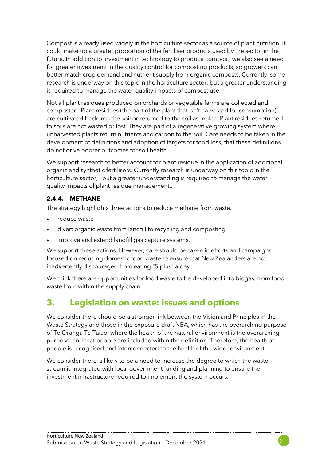Compost is already used widely in the horticulture sector as a source of plant nutrition. It could make up a greater proportion of the fertiliser products used by the sector in the future. In addition to investment in technology to produce compost, we also see a need for greater investment in the quality control for composting products, so growers can better match crop demand and nutrient supply from organic composts. Currently, some research is underway on this topic in the horticulture sector, but a greater understanding is required to manage the water quality impacts of compost use.

Not all plant residues produced on orchards or vegetable farms are collected and composted. Plant residues (the part of the plant that isn't harvested for consumption) are cultivated back into the soil or returned to the soil as mulch. Plant residues returned to soils are not wasted or lost. They are part of a regenerative growing system where unharvested plants return nutrients and carbon to the soil. Care needs to be taken in the development of definitions and adoption of targets for food loss, that these definitions do not drive poorer outcomes for soil health.

We support research to better account for plant residue in the application of additional organic and synthetic fertilisers. Currently research is underway on this topic in the horticulture sector, , but a greater understanding is required to manage the water quality impacts of plant residue management..

#### **2.4.4. METHANE**

The strategy highlights three actions to reduce methane from waste.

- reduce waste
- divert organic waste from landfill to recycling and composting
- improve and extend landfill gas capture systems.

We support these actions. However, care should be taken in efforts and campaigns focused on reducing domestic food waste to ensure that New Zealanders are not inadvertently discouraged from eating "5 plus" a day.

We think there are opportunities for food waste to be developed into biogas, from food waste from within the supply chain.

# **3. Legislation on waste: issues and options**

We consider there should be a stronger link between the Vision and Principles in the Waste Strategy and those in the exposure draft NBA, which has the overarching purpose of Te Oranga Te Taiao, where the health of the natural environment is the overarching purpose, and that people are included within the definition. Therefore, the health of people is recognised and interconnected to the health of the wider environment.

9

We consider there is likely to be a need to increase the degree to which the waste stream is integrated with local government funding and planning to ensure the investment infrastructure required to implement the system occurs.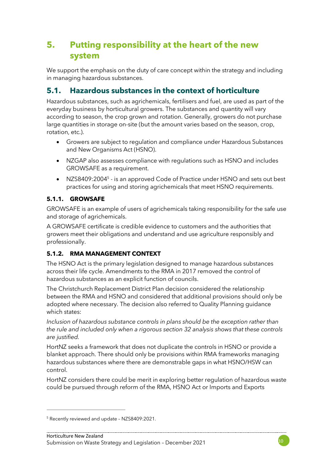# **5. Putting responsibility at the heart of the new system**

We support the emphasis on the duty of care concept within the strategy and including in managing hazardous substances.

### **5.1. Hazardous substances in the context of horticulture**

Hazardous substances, such as agrichemicals, fertilisers and fuel, are used as part of the everyday business by horticultural growers. The substances and quantity will vary according to season, the crop grown and rotation. Generally, growers do not purchase large quantities in storage on-site (but the amount varies based on the season, crop, rotation, etc.).

- Growers are subject to regulation and compliance under Hazardous Substances and New Organisms Act (HSNO).
- NZGAP also assesses compliance with regulations such as HSNO and includes GROWSAFE as a requirement.
- NZS8409:2004<sup>5</sup> is an approved Code of Practice under HSNO and sets out best practices for using and storing agrichemicals that meet HSNO requirements.

#### **5.1.1. GROWSAFE**

GROWSAFE is an example of users of agrichemicals taking responsibility for the safe use and storage of agrichemicals.

A GROWSAFE certificate is credible evidence to customers and the authorities that growers meet their obligations and understand and use agriculture responsibly and professionally.

#### **5.1.2. RMA MANAGEMENT CONTEXT**

The HSNO Act is the primary legislation designed to manage hazardous substances across their life cycle. Amendments to the RMA in 2017 removed the control of hazardous substances as an explicit function of councils.

The Christchurch Replacement District Plan decision considered the relationship between the RMA and HSNO and considered that additional provisions should only be adopted where necessary. The decision also referred to Quality Planning guidance which states:

*Inclusion of hazardous substance controls in plans should be the exception rather than the rule and included only when a rigorous section 32 analysis shows that these controls are justified.*

HortNZ seeks a framework that does not duplicate the controls in HSNO or provide a blanket approach. There should only be provisions within RMA frameworks managing hazardous substances where there are demonstrable gaps in what HSNO/HSW can control.

HortNZ considers there could be merit in exploring better regulation of hazardous waste could be pursued through reform of the RMA, HSNO Act or Imports and Exports

<sup>5</sup> Recently reviewed and update – NZS8409:2021.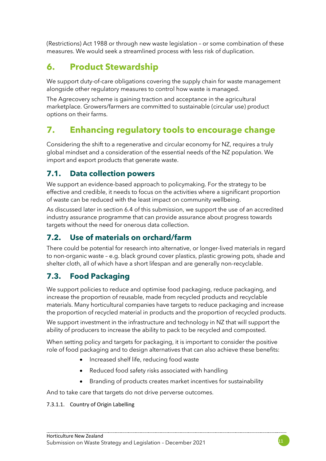(Restrictions) Act 1988 or through new waste legislation – or some combination of these measures. We would seek a streamlined process with less risk of duplication.

# **6. Product Stewardship**

We support duty-of-care obligations covering the supply chain for waste management alongside other regulatory measures to control how waste is managed.

The Agrecovery scheme is gaining traction and acceptance in the agricultural marketplace. Growers/farmers are committed to sustainable (circular use) product options on their farms.

# **7. Enhancing regulatory tools to encourage change**

Considering the shift to a regenerative and circular economy for NZ, requires a truly global mindset and a consideration of the essential needs of the NZ population. We import and export products that generate waste.

### **7.1. Data collection powers**

We support an evidence-based approach to policymaking. For the strategy to be effective and credible, it needs to focus on the activities where a significant proportion of waste can be reduced with the least impact on community wellbeing.

As discussed later in section 6.4 of this submission, we support the use of an accredited industry assurance programme that can provide assurance about progress towards targets without the need for onerous data collection.

## **7.2. Use of materials on orchard/farm**

There could be potential for research into alternative, or longer-lived materials in regard to non-organic waste – e.g. black ground cover plastics, plastic growing pots, shade and shelter cloth, all of which have a short lifespan and are generally non-recyclable.

## **7.3. Food Packaging**

We support policies to reduce and optimise food packaging, reduce packaging, and increase the proportion of reusable, made from recycled products and recyclable materials. Many horticultural companies have targets to reduce packaging and increase the proportion of recycled material in products and the proportion of recycled products.

We support investment in the infrastructure and technology in NZ that will support the ability of producers to increase the ability to pack to be recycled and composted.

When setting policy and targets for packaging, it is important to consider the positive role of food packaging and to design alternatives that can also achieve these benefits:

- Increased shelf life, reducing food waste
- Reduced food safety risks associated with handling
- Branding of products creates market incentives for sustainability

And to take care that targets do not drive perverse outcomes.

7.3.1.1. Country of Origin Labelling

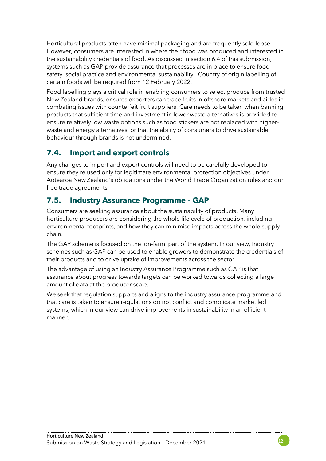Horticultural products often have minimal packaging and are frequently sold loose. However, consumers are interested in where their food was produced and interested in the sustainability credentials of food. As discussed in section 6.4 of this submission, systems such as GAP provide assurance that processes are in place to ensure food safety, social practice and environmental sustainability. Country of origin labelling of certain foods will be required from 12 February 2022.

Food labelling plays a critical role in enabling consumers to select produce from trusted New Zealand brands, ensures exporters can trace fruits in offshore markets and aides in combating issues with counterfeit fruit suppliers. Care needs to be taken when banning products that sufficient time and investment in lower waste alternatives is provided to ensure relatively low waste options such as food stickers are not replaced with higherwaste and energy alternatives, or that the ability of consumers to drive sustainable behaviour through brands is not undermined.

## **7.4. Import and export controls**

Any changes to import and export controls will need to be carefully developed to ensure they're used only for legitimate environmental protection objectives under Aotearoa New Zealand's obligations under the World Trade Organization rules and our free trade agreements.

## **7.5. Industry Assurance Programme – GAP**

Consumers are seeking assurance about the sustainability of products. Many horticulture producers are considering the whole life cycle of production, including environmental footprints, and how they can minimise impacts across the whole supply chain.

The GAP scheme is focused on the 'on-farm' part of the system. In our view, Industry schemes such as GAP can be used to enable growers to demonstrate the credentials of their products and to drive uptake of improvements across the sector.

The advantage of using an Industry Assurance Programme such as GAP is that assurance about progress towards targets can be worked towards collecting a large amount of data at the producer scale.

We seek that regulation supports and aligns to the industry assurance programme and that care is taken to ensure regulations do not conflict and complicate market led systems, which in our view can drive improvements in sustainability in an efficient manner.

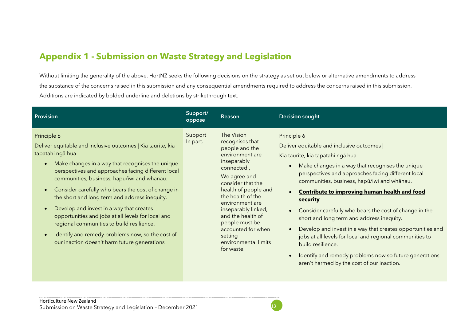# **Appendix 1 - Submission on Waste Strategy and Legislation**

Without limiting the generality of the above, HortNZ seeks the following decisions on the strategy as set out below or alternative amendments to address the substance of the concerns raised in this submission and any consequential amendments required to address the concerns raised in this submission. Additions are indicated by bolded underline and deletions by strikethrough text.

| Provision                                                                                                                                                                                                                                                                                                                                                                                                                                                                                                                                                                                                                                                             | Support/<br>oppose  | Reason                                                                                                                                                                                                                                                                                                                                     | <b>Decision sought</b>                                                                                                                                                                                                                                                                                                                                                                                                                                                                                                                                                                                                                                                                                                                                     |
|-----------------------------------------------------------------------------------------------------------------------------------------------------------------------------------------------------------------------------------------------------------------------------------------------------------------------------------------------------------------------------------------------------------------------------------------------------------------------------------------------------------------------------------------------------------------------------------------------------------------------------------------------------------------------|---------------------|--------------------------------------------------------------------------------------------------------------------------------------------------------------------------------------------------------------------------------------------------------------------------------------------------------------------------------------------|------------------------------------------------------------------------------------------------------------------------------------------------------------------------------------------------------------------------------------------------------------------------------------------------------------------------------------------------------------------------------------------------------------------------------------------------------------------------------------------------------------------------------------------------------------------------------------------------------------------------------------------------------------------------------------------------------------------------------------------------------------|
| Principle 6<br>Deliver equitable and inclusive outcomes   Kia taurite, kia<br>tapatahi ngā hua<br>Make changes in a way that recognises the unique<br>$\bullet$<br>perspectives and approaches facing different local<br>communities, business, hapū/iwi and whānau.<br>Consider carefully who bears the cost of change in<br>$\bullet$<br>the short and long term and address inequity.<br>Develop and invest in a way that creates<br>$\bullet$<br>opportunities and jobs at all levels for local and<br>regional communities to build resilience.<br>Identify and remedy problems now, so the cost of<br>$\bullet$<br>our inaction doesn't harm future generations | Support<br>In part. | The Vision<br>recognises that<br>people and the<br>environment are<br>inseparably<br>connected.,<br>We agree and<br>consider that the<br>health of people and<br>the health of the<br>environment are<br>inseparably linked,<br>and the health of<br>people must be<br>accounted for when<br>setting<br>environmental limits<br>for waste. | Principle 6<br>Deliver equitable and inclusive outcomes  <br>Kia taurite, kia tapatahi ngā hua<br>Make changes in a way that recognises the unique<br>$\bullet$<br>perspectives and approaches facing different local<br>communities, business, hapū/iwi and whānau.<br><b>Contribute to improving human health and food</b><br>$\bullet$<br>security<br>Consider carefully who bears the cost of change in the<br>$\bullet$<br>short and long term and address inequity.<br>Develop and invest in a way that creates opportunities and<br>$\bullet$<br>jobs at all levels for local and regional communities to<br>build resilience.<br>Identify and remedy problems now so future generations<br>$\bullet$<br>aren't harmed by the cost of our inaction. |